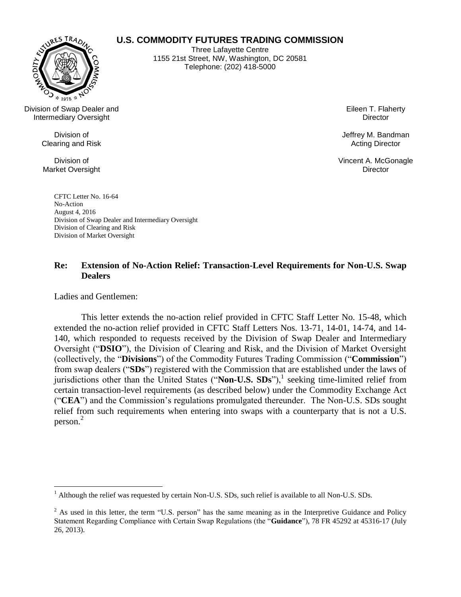

**U.S. COMMODITY FUTURES TRADING COMMISSION**

Three Lafayette Centre 1155 21st Street, NW, Washington, DC 20581 Telephone: (202) 418-5000

Division of Swap Dealer and Intermediary Oversight

> Division of Clearing and Risk

Division of Market Oversight Eileen T. Flaherty **Director** 

Jeffrey M. Bandman Acting Director

Vincent A. McGonagle **Director** 

CFTC Letter No. 16-64 No-Action August 4, 2016 Division of Swap Dealer and Intermediary Oversight Division of Clearing and Risk Division of Market Oversight

# **Re: Extension of No-Action Relief: Transaction-Level Requirements for Non-U.S. Swap Dealers**

Ladies and Gentlemen:

This letter extends the no-action relief provided in CFTC Staff Letter No. 15-48, which extended the no-action relief provided in CFTC Staff Letters Nos. 13-71, 14-01, 14-74, and 14- 140, which responded to requests received by the Division of Swap Dealer and Intermediary Oversight ("**DSIO**"), the Division of Clearing and Risk, and the Division of Market Oversight (collectively, the "**Divisions**") of the Commodity Futures Trading Commission ("**Commission**") from swap dealers ("**SDs**") registered with the Commission that are established under the laws of jurisdictions other than the United States ("Non-U.S. SDs"),<sup>1</sup> seeking time-limited relief from certain transaction-level requirements (as described below) under the Commodity Exchange Act ("**CEA**") and the Commission's regulations promulgated thereunder. The Non-U.S. SDs sought relief from such requirements when entering into swaps with a counterparty that is not a U.S. person.<sup>2</sup>

<sup>&</sup>lt;sup>1</sup> Although the relief was requested by certain Non-U.S. SDs, such relief is available to all Non-U.S. SDs.

 $2$  As used in this letter, the term "U.S. person" has the same meaning as in the Interpretive Guidance and Policy Statement Regarding Compliance with Certain Swap Regulations (the "**Guidance**"), 78 FR 45292 at 45316-17 (July 26, 2013).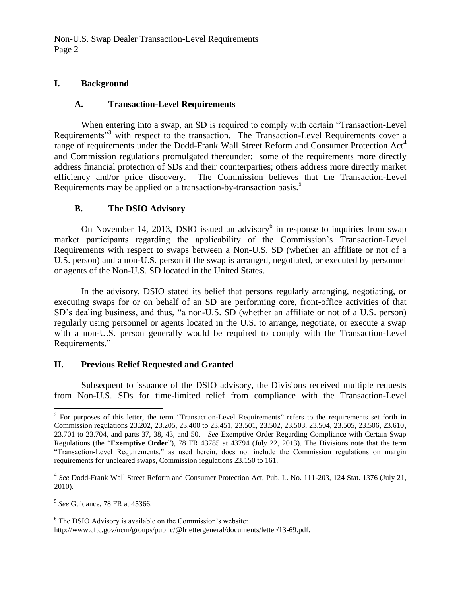Non-U.S. Swap Dealer Transaction-Level Requirements Page 2

### **I. Background**

### **A. Transaction-Level Requirements**

When entering into a swap, an SD is required to comply with certain "Transaction-Level Requirements<sup>33</sup> with respect to the transaction. The Transaction-Level Requirements cover a range of requirements under the Dodd-Frank Wall Street Reform and Consumer Protection Act<sup>4</sup> and Commission regulations promulgated thereunder: some of the requirements more directly address financial protection of SDs and their counterparties; others address more directly market efficiency and/or price discovery. The Commission believes that the Transaction-Level Requirements may be applied on a transaction-by-transaction basis.<sup>5</sup>

## **B. The DSIO Advisory**

On November 14, 2013, DSIO issued an advisory $6$  in response to inquiries from swap market participants regarding the applicability of the Commission's Transaction-Level Requirements with respect to swaps between a Non-U.S. SD (whether an affiliate or not of a U.S. person) and a non-U.S. person if the swap is arranged, negotiated, or executed by personnel or agents of the Non-U.S. SD located in the United States.

In the advisory, DSIO stated its belief that persons regularly arranging, negotiating, or executing swaps for or on behalf of an SD are performing core, front-office activities of that SD's dealing business, and thus, "a non-U.S. SD (whether an affiliate or not of a U.S. person) regularly using personnel or agents located in the U.S. to arrange, negotiate, or execute a swap with a non-U.S. person generally would be required to comply with the Transaction-Level Requirements."

# **II. Previous Relief Requested and Granted**

Subsequent to issuance of the DSIO advisory, the Divisions received multiple requests from Non-U.S. SDs for time-limited relief from compliance with the Transaction-Level

<sup>&</sup>lt;sup>3</sup> For purposes of this letter, the term "Transaction-Level Requirements" refers to the requirements set forth in Commission regulations 23.202, 23.205, 23.400 to 23.451, 23.501, 23.502, 23.503, 23.504, 23.505, 23.506, 23.610, 23.701 to 23.704, and parts 37, 38, 43, and 50. *See* Exemptive Order Regarding Compliance with Certain Swap Regulations (the "**Exemptive Order**"), 78 FR 43785 at 43794 (July 22, 2013). The Divisions note that the term "Transaction-Level Requirements," as used herein, does not include the Commission regulations on margin requirements for uncleared swaps, Commission regulations 23.150 to 161.

<sup>4</sup> *See* Dodd-Frank Wall Street Reform and Consumer Protection Act, Pub. L. No. 111-203, 124 Stat. 1376 (July 21, 2010).

<sup>5</sup> *See* Guidance, 78 FR at 45366.

<sup>&</sup>lt;sup>6</sup> The DSIO Advisory is available on the Commission's website: http://www.cftc.gov/ucm/groups/public/@lrlettergeneral/documents/letter/13-69.pdf.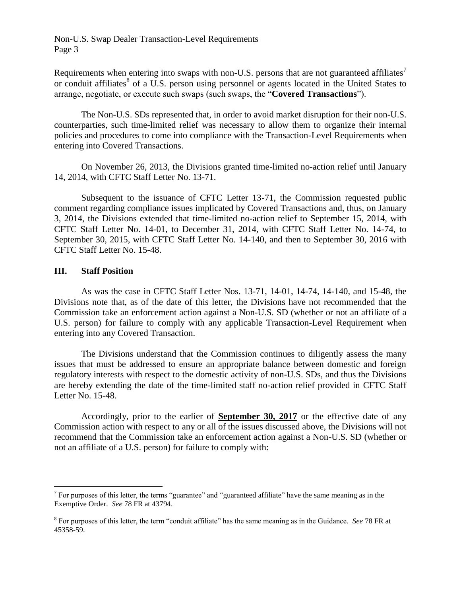Requirements when entering into swaps with non-U.S. persons that are not guaranteed affiliates<sup>7</sup> or conduit affiliates<sup>8</sup> of a U.S. person using personnel or agents located in the United States to arrange, negotiate, or execute such swaps (such swaps, the "**Covered Transactions**").

The Non-U.S. SDs represented that, in order to avoid market disruption for their non-U.S. counterparties, such time-limited relief was necessary to allow them to organize their internal policies and procedures to come into compliance with the Transaction-Level Requirements when entering into Covered Transactions.

On November 26, 2013, the Divisions granted time-limited no-action relief until January 14, 2014, with CFTC Staff Letter No. 13-71.

Subsequent to the issuance of CFTC Letter 13-71, the Commission requested public comment regarding compliance issues implicated by Covered Transactions and, thus, on January 3, 2014, the Divisions extended that time-limited no-action relief to September 15, 2014, with CFTC Staff Letter No. 14-01, to December 31, 2014, with CFTC Staff Letter No. 14-74, to September 30, 2015, with CFTC Staff Letter No. 14-140, and then to September 30, 2016 with CFTC Staff Letter No. 15-48.

#### **III. Staff Position**

 $\overline{a}$ 

As was the case in CFTC Staff Letter Nos. 13-71, 14-01, 14-74, 14-140, and 15-48, the Divisions note that, as of the date of this letter, the Divisions have not recommended that the Commission take an enforcement action against a Non-U.S. SD (whether or not an affiliate of a U.S. person) for failure to comply with any applicable Transaction-Level Requirement when entering into any Covered Transaction.

The Divisions understand that the Commission continues to diligently assess the many issues that must be addressed to ensure an appropriate balance between domestic and foreign regulatory interests with respect to the domestic activity of non-U.S. SDs, and thus the Divisions are hereby extending the date of the time-limited staff no-action relief provided in CFTC Staff Letter No. 15-48.

Accordingly, prior to the earlier of **September 30, 2017** or the effective date of any Commission action with respect to any or all of the issues discussed above, the Divisions will not recommend that the Commission take an enforcement action against a Non-U.S. SD (whether or not an affiliate of a U.S. person) for failure to comply with:

 $<sup>7</sup>$  For purposes of this letter, the terms "guarantee" and "guaranteed affiliate" have the same meaning as in the</sup> Exemptive Order. *See* 78 FR at 43794.

<sup>8</sup> For purposes of this letter, the term "conduit affiliate" has the same meaning as in the Guidance. *See* 78 FR at 45358-59.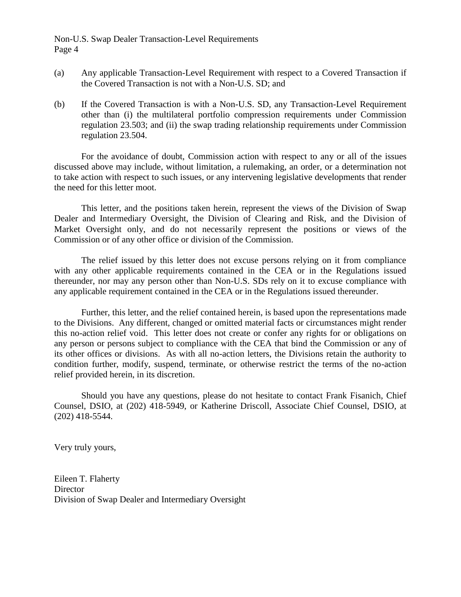Non-U.S. Swap Dealer Transaction-Level Requirements Page 4

- (a) Any applicable Transaction-Level Requirement with respect to a Covered Transaction if the Covered Transaction is not with a Non-U.S. SD; and
- (b) If the Covered Transaction is with a Non-U.S. SD, any Transaction-Level Requirement other than (i) the multilateral portfolio compression requirements under Commission regulation 23.503; and (ii) the swap trading relationship requirements under Commission regulation 23.504.

For the avoidance of doubt, Commission action with respect to any or all of the issues discussed above may include, without limitation, a rulemaking, an order, or a determination not to take action with respect to such issues, or any intervening legislative developments that render the need for this letter moot.

This letter, and the positions taken herein, represent the views of the Division of Swap Dealer and Intermediary Oversight, the Division of Clearing and Risk, and the Division of Market Oversight only, and do not necessarily represent the positions or views of the Commission or of any other office or division of the Commission.

The relief issued by this letter does not excuse persons relying on it from compliance with any other applicable requirements contained in the CEA or in the Regulations issued thereunder, nor may any person other than Non-U.S. SDs rely on it to excuse compliance with any applicable requirement contained in the CEA or in the Regulations issued thereunder.

Further, this letter, and the relief contained herein, is based upon the representations made to the Divisions. Any different, changed or omitted material facts or circumstances might render this no-action relief void. This letter does not create or confer any rights for or obligations on any person or persons subject to compliance with the CEA that bind the Commission or any of its other offices or divisions. As with all no-action letters, the Divisions retain the authority to condition further, modify, suspend, terminate, or otherwise restrict the terms of the no-action relief provided herein, in its discretion.

Should you have any questions, please do not hesitate to contact Frank Fisanich, Chief Counsel, DSIO, at (202) 418-5949, or Katherine Driscoll, Associate Chief Counsel, DSIO, at (202) 418-5544.

Very truly yours,

Eileen T. Flaherty **Director** Division of Swap Dealer and Intermediary Oversight